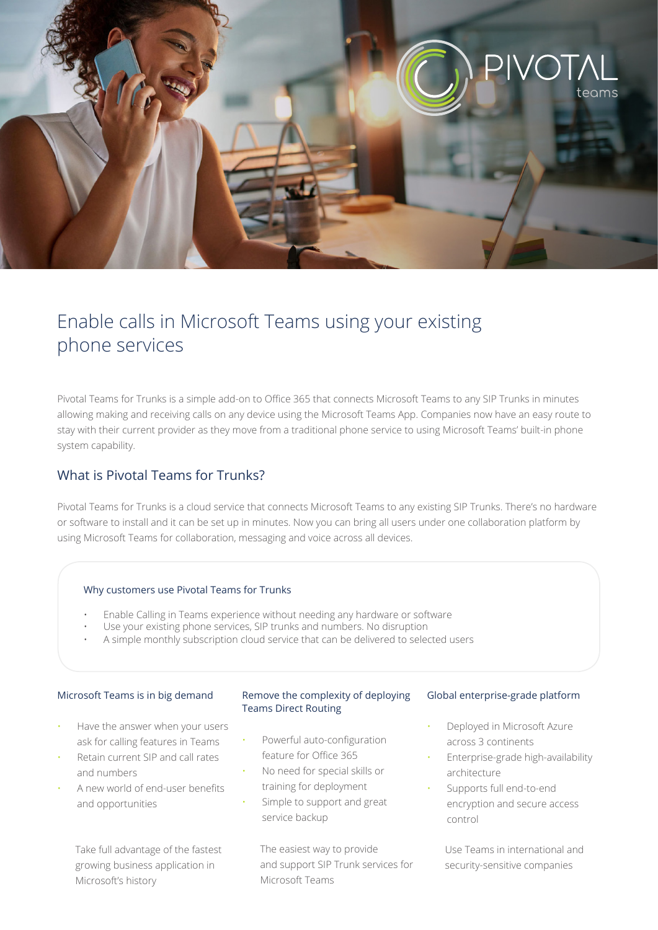

# Enable calls in Microsoft Teams using your existing phone services

Pivotal Teams for Trunks is a simple add-on to Office 365 that connects Microsoft Teams to any SIP Trunks in minutes allowing making and receiving calls on any device using the Microsoft Teams App. Companies now have an easy route to stay with their current provider as they move from a traditional phone service to using Microsoft Teams' built-in phone system capability.

## What is Pivotal Teams for Trunks?

Pivotal Teams for Trunks is a cloud service that connects Microsoft Teams to any existing SIP Trunks. There's no hardware or software to install and it can be set up in minutes. Now you can bring all users under one collaboration platform by using Microsoft Teams for collaboration, messaging and voice across all devices.

#### Why customers use Pivotal Teams for Trunks

- Enable Calling in Teams experience without needing any hardware or software
- Use your existing phone services, SIP trunks and numbers. No disruption
- A simple monthly subscription cloud service that can be delivered to selected users

#### Microsoft Teams is in big demand

- Have the answer when your users ask for calling features in Teams
- Retain current SIP and call rates and numbers
- A new world of end-user benefits and opportunities

 Take full advantage of the fastest growing business application in Microsoft's history

#### Remove the complexity of deploying Teams Direct Routing

- Powerful auto-configuration feature for Office 365
- No need for special skills or training for deployment
- Simple to support and great service backup

 The easiest way to provide and support SIP Trunk services for Microsoft Teams

#### Global enterprise-grade platform

- Deployed in Microsoft Azure across 3 continents
- Enterprise-grade high-availability architecture
- Supports full end-to-end encryption and secure access control

 Use Teams in international and security-sensitive companies